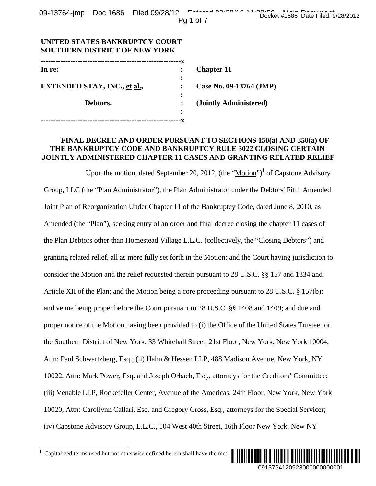| UNITED STATES BANKRUPTUT UQURT<br><b>SOUTHERN DISTRICT OF NEW YORK</b> |           |                         |
|------------------------------------------------------------------------|-----------|-------------------------|
|                                                                        |           |                         |
| In re:                                                                 |           | <b>Chapter 11</b>       |
|                                                                        | $\bullet$ |                         |
| <b>EXTENDED STAY, INC., et al.,</b>                                    |           | Case No. 09-13764 (JMP) |
|                                                                        |           |                         |
| Debtors.                                                               |           | (Jointly Administered)  |
|                                                                        | ٠         |                         |
|                                                                        |           |                         |

**UNITED STATES BANKRUPTCY COURT** 

### **FINAL DECREE AND ORDER PURSUANT TO SECTIONS 150(a) AND 350(a) OF THE BANKRUPTCY CODE AND BANKRUPTCY RULE 3022 CLOSING CERTAIN JOINTLY ADMINISTERED CHAPTER 11 CASES AND GRANTING RELATED RELIEF**

Upon the motion, dated September 20, 2012,  $($ the "Motion" $)$ <sup>1</sup> of Capstone Advisory Group, LLC (the "Plan Administrator"), the Plan Administrator under the Debtors' Fifth Amended Joint Plan of Reorganization Under Chapter 11 of the Bankruptcy Code, dated June 8, 2010, as Amended (the "Plan"), seeking entry of an order and final decree closing the chapter 11 cases of the Plan Debtors other than Homestead Village L.L.C. (collectively, the "Closing Debtors") and granting related relief, all as more fully set forth in the Motion; and the Court having jurisdiction to consider the Motion and the relief requested therein pursuant to 28 U.S.C. §§ 157 and 1334 and Article XII of the Plan; and the Motion being a core proceeding pursuant to 28 U.S.C. § 157(b); and venue being proper before the Court pursuant to 28 U.S.C. §§ 1408 and 1409; and due and proper notice of the Motion having been provided to (i) the Office of the United States Trustee for the Southern District of New York, 33 Whitehall Street, 21st Floor, New York, New York 10004, Attn: Paul Schwartzberg, Esq.; (ii) Hahn & Hessen LLP, 488 Madison Avenue, New York, NY 10022, Attn: Mark Power, Esq. and Joseph Orbach, Esq., attorneys for the Creditors' Committee; (iii) Venable LLP, Rockefeller Center, Avenue of the Americas, 24th Floor, New York, New York 10020, Attn: Carollynn Callari, Esq. and Gregory Cross, Esq., attorneys for the Special Servicer; (iv) Capstone Advisory Group, L.L.C., 104 West 40th Street, 16th Floor New York, New NY Docket #1686 Date Filed: 9/28/2012<br> **JMP)**<br> **dd)**<br> **150(a) AND 350(a) OF**<br> **ICOSING CERTAIN**<br>
<sup>1</sup> of Capstone Advisory<br>
Debtors' Fifth Amended<br>
lated June 8, 2010, as<br>
the chapter 11 cases of<br> **Closing Debtors'** and<br> **150(** 

-



<sup>1</sup> Capitalized terms used but not otherwise defined herein shall have the mea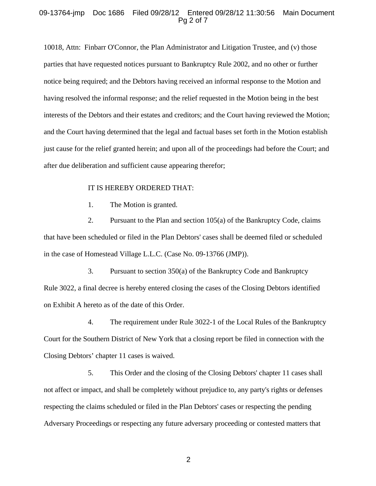### 09-13764-jmp Doc 1686 Filed 09/28/12 Entered 09/28/12 11:30:56 Main Document Pg 2 of 7

10018, Attn: Finbarr O'Connor, the Plan Administrator and Litigation Trustee, and (v) those parties that have requested notices pursuant to Bankruptcy Rule 2002, and no other or further notice being required; and the Debtors having received an informal response to the Motion and having resolved the informal response; and the relief requested in the Motion being in the best interests of the Debtors and their estates and creditors; and the Court having reviewed the Motion; and the Court having determined that the legal and factual bases set forth in the Motion establish just cause for the relief granted herein; and upon all of the proceedings had before the Court; and after due deliberation and sufficient cause appearing therefor;

#### IT IS HEREBY ORDERED THAT:

1. The Motion is granted.

2. Pursuant to the Plan and section 105(a) of the Bankruptcy Code, claims that have been scheduled or filed in the Plan Debtors' cases shall be deemed filed or scheduled in the case of Homestead Village L.L.C. (Case No. 09-13766 (JMP)).

3. Pursuant to section 350(a) of the Bankruptcy Code and Bankruptcy Rule 3022, a final decree is hereby entered closing the cases of the Closing Debtors identified on Exhibit A hereto as of the date of this Order.

4. The requirement under Rule 3022-1 of the Local Rules of the Bankruptcy Court for the Southern District of New York that a closing report be filed in connection with the Closing Debtors' chapter 11 cases is waived.

5. This Order and the closing of the Closing Debtors' chapter 11 cases shall not affect or impact, and shall be completely without prejudice to, any party's rights or defenses respecting the claims scheduled or filed in the Plan Debtors' cases or respecting the pending Adversary Proceedings or respecting any future adversary proceeding or contested matters that

2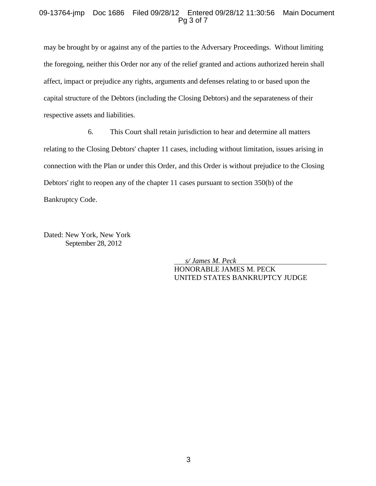### 09-13764-jmp Doc 1686 Filed 09/28/12 Entered 09/28/12 11:30:56 Main Document Pg 3 of 7

may be brought by or against any of the parties to the Adversary Proceedings. Without limiting the foregoing, neither this Order nor any of the relief granted and actions authorized herein shall affect, impact or prejudice any rights, arguments and defenses relating to or based upon the capital structure of the Debtors (including the Closing Debtors) and the separateness of their respective assets and liabilities.

6. This Court shall retain jurisdiction to hear and determine all matters relating to the Closing Debtors' chapter 11 cases, including without limitation, issues arising in connection with the Plan or under this Order, and this Order is without prejudice to the Closing Debtors' right to reopen any of the chapter 11 cases pursuant to section 350(b) of the Bankruptcy Code.

Dated: New York, New York September 28, 2012

> *s/ James M. Peck*  HONORABLE JAMES M. PECK UNITED STATES BANKRUPTCY JUDGE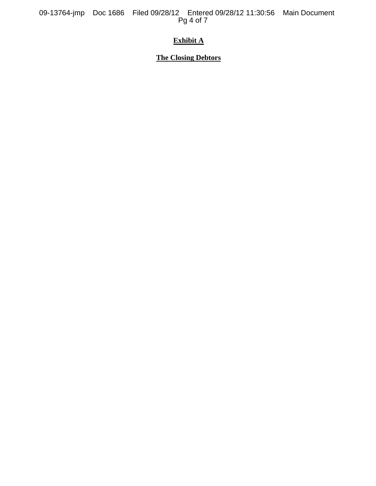09-13764-jmp Doc 1686 Filed 09/28/12 Entered 09/28/12 11:30:56 Main Document Pg 4 of 7

# **Exhibit A**

# **The Closing Debtors**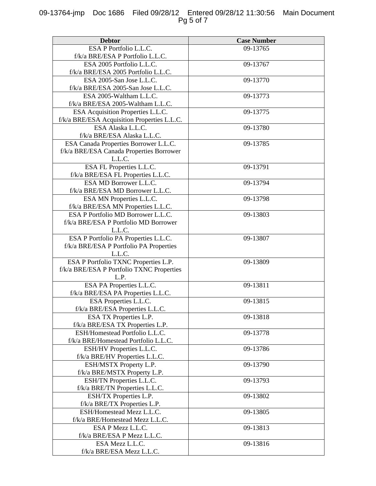# 09-13764-jmp Doc 1686 Filed 09/28/12 Entered 09/28/12 11:30:56 Main Document Pg 5 of 7

| <b>Debtor</b>                               | <b>Case Number</b> |
|---------------------------------------------|--------------------|
| ESA P Portfolio L.L.C.                      | 09-13765           |
| f/k/a BRE/ESA P Portfolio L.L.C.            |                    |
| ESA 2005 Portfolio L.L.C.                   | 09-13767           |
| f/k/a BRE/ESA 2005 Portfolio L.L.C.         |                    |
| ESA 2005-San Jose L.L.C.                    | 09-13770           |
| f/k/a BRE/ESA 2005-San Jose L.L.C.          |                    |
| ESA 2005-Waltham L.L.C.                     | 09-13773           |
| f/k/a BRE/ESA 2005-Waltham L.L.C.           |                    |
| ESA Acquisition Properties L.L.C.           | 09-13775           |
| f/k/a BRE/ESA Acquisition Properties L.L.C. |                    |
| ESA Alaska L.L.C.                           | 09-13780           |
| f/k/a BRE/ESA Alaska L.L.C.                 |                    |
| ESA Canada Properties Borrower L.L.C.       | 09-13785           |
| f/k/a BRE/ESA Canada Properties Borrower    |                    |
| L.L.C.                                      |                    |
| ESA FL Properties L.L.C.                    | 09-13791           |
| f/k/a BRE/ESA FL Properties L.L.C.          |                    |
| ESA MD Borrower L.L.C.                      | 09-13794           |
| f/k/a BRE/ESA MD Borrower L.L.C.            |                    |
| ESA MN Properties L.L.C.                    | 09-13798           |
| f/k/a BRE/ESA MN Properties L.L.C.          |                    |
| ESA P Portfolio MD Borrower L.L.C.          | 09-13803           |
| f/k/a BRE/ESA P Portfolio MD Borrower       |                    |
| L.L.C.                                      |                    |
| ESA P Portfolio PA Properties L.L.C.        | 09-13807           |
| f/k/a BRE/ESA P Portfolio PA Properties     |                    |
| L.L.C.                                      |                    |
| ESA P Portfolio TXNC Properties L.P.        | 09-13809           |
| f/k/a BRE/ESA P Portfolio TXNC Properties   |                    |
| L.P.                                        |                    |
| ESA PA Properties L.L.C.                    | 09-13811           |
| f/k/a BRE/ESA PA Properties L.L.C.          |                    |
| ESA Properties L.L.C.                       | 09-13815           |
| f/k/a BRE/ESA Properties L.L.C.             |                    |
| ESA TX Properties L.P.                      | 09-13818           |
| f/k/a BRE/ESA TX Properties L.P.            |                    |
| ESH/Homestead Portfolio L.L.C.              | 09-13778           |
| f/k/a BRE/Homestead Portfolio L.L.C.        |                    |
| ESH/HV Properties L.L.C.                    | 09-13786           |
| f/k/a BRE/HV Properties L.L.C.              |                    |
| ESH/MSTX Property L.P.                      | 09-13790           |
| f/k/a BRE/MSTX Property L.P.                |                    |
| ESH/TN Properties L.L.C.                    | 09-13793           |
| f/k/a BRE/TN Properties L.L.C.              |                    |
| ESH/TX Properties L.P.                      | 09-13802           |
| f/k/a BRE/TX Properties L.P.                |                    |
| ESH/Homestead Mezz L.L.C.                   | 09-13805           |
| f/k/a BRE/Homestead Mezz L.L.C.             |                    |
| ESA P Mezz L.L.C.                           | 09-13813           |
| f/k/a BRE/ESA P Mezz L.L.C.                 |                    |
| ESA Mezz L.L.C.                             | 09-13816           |
| f/k/a BRE/ESA Mezz L.L.C.                   |                    |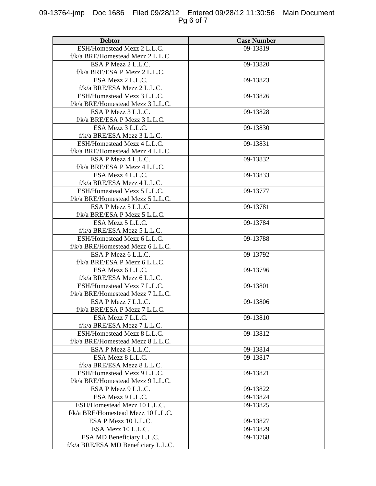# 09-13764-jmp Doc 1686 Filed 09/28/12 Entered 09/28/12 11:30:56 Main Document Pg 6 of 7

| <b>Debtor</b>                       | <b>Case Number</b> |
|-------------------------------------|--------------------|
| ESH/Homestead Mezz 2 L.L.C.         | 09-13819           |
| f/k/a BRE/Homestead Mezz 2 L.L.C.   |                    |
| ESA P Mezz 2 L.L.C.                 | 09-13820           |
| f/k/a BRE/ESA P Mezz 2 L.L.C.       |                    |
| ESA Mezz 2 L.L.C.                   | 09-13823           |
| f/k/a BRE/ESA Mezz 2 L.L.C.         |                    |
| ESH/Homestead Mezz 3 L.L.C.         | 09-13826           |
| f/k/a BRE/Homestead Mezz 3 L.L.C.   |                    |
| ESA P Mezz 3 L.L.C.                 | 09-13828           |
| f/k/a BRE/ESA P Mezz 3 L.L.C.       |                    |
| ESA Mezz 3 L.L.C.                   | 09-13830           |
| f/k/a BRE/ESA Mezz 3 L.L.C.         |                    |
| ESH/Homestead Mezz 4 L.L.C.         | 09-13831           |
| f/k/a BRE/Homestead Mezz 4 L.L.C.   |                    |
| ESA P Mezz 4 L.L.C.                 | 09-13832           |
| f/k/a BRE/ESA P Mezz 4 L.L.C.       |                    |
| ESA Mezz 4 L.L.C.                   | 09-13833           |
| f/k/a BRE/ESA Mezz 4 L.L.C.         |                    |
| ESH/Homestead Mezz 5 L.L.C.         | 09-13777           |
| f/k/a BRE/Homestead Mezz 5 L.L.C.   |                    |
| ESA P Mezz 5 L.L.C.                 | 09-13781           |
| f/k/a BRE/ESA P Mezz 5 L.L.C.       |                    |
| ESA Mezz 5 L.L.C.                   | 09-13784           |
| f/k/a BRE/ESA Mezz 5 L.L.C.         |                    |
| ESH/Homestead Mezz 6 L.L.C.         | 09-13788           |
| f/k/a BRE/Homestead Mezz 6 L.L.C.   |                    |
| ESA P Mezz 6 L.L.C.                 | 09-13792           |
| f/k/a BRE/ESA P Mezz 6 L.L.C.       |                    |
| ESA Mezz 6 L.L.C.                   | 09-13796           |
| $f/k/a$ BRE/ESA Mezz 6 L.L.C.       |                    |
| ESH/Homestead Mezz 7 L.L.C.         | 09-13801           |
| f/k/a BRE/Homestead Mezz 7 L.L.C.   |                    |
| ESA P Mezz 7 L.L.C.                 | 09-13806           |
| f/k/a BRE/ESA P Mezz 7 L.L.C.       |                    |
| ESA Mezz 7 L.L.C.                   | 09-13810           |
| f/k/a BRE/ESA Mezz 7 L.L.C.         |                    |
| ESH/Homestead Mezz 8 L.L.C.         | 09-13812           |
| f/k/a BRE/Homestead Mezz 8 L.L.C.   |                    |
| ESA P Mezz 8 L.L.C.                 | 09-13814           |
| ESA Mezz 8 L.L.C.                   | 09-13817           |
| f/k/a BRE/ESA Mezz 8 L.L.C.         |                    |
| ESH/Homestead Mezz 9 L.L.C.         | 09-13821           |
| f/k/a BRE/Homestead Mezz 9 L.L.C.   |                    |
| ESA P Mezz 9 L.L.C.                 | 09-13822           |
| ESA Mezz 9 L.L.C.                   | 09-13824           |
| ESH/Homestead Mezz 10 L.L.C.        | 09-13825           |
| f/k/a BRE/Homestead Mezz 10 L.L.C.  |                    |
| ESA P Mezz 10 L.L.C.                | 09-13827           |
| ESA Mezz 10 L.L.C.                  | 09-13829           |
| ESA MD Beneficiary L.L.C.           | 09-13768           |
| f/k/a BRE/ESA MD Beneficiary L.L.C. |                    |